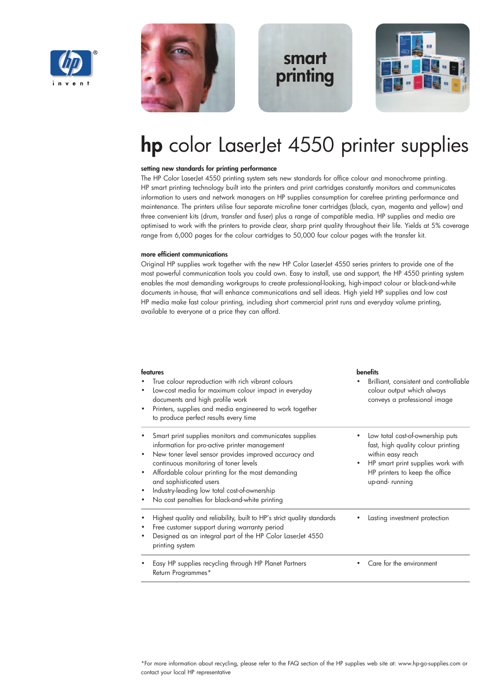



## **smart printing**



# **hp** color LaserJet 4550 printer supplies

#### **setting new standards for printing performance**

The HP Color LaserJet 4550 printing system sets new standards for office colour and monochrome printing. HP smart printing technology built into the printers and print cartridges constantly monitors and communicates information to users and network managers on HP supplies consumption for carefree printing performance and maintenance. The printers utilise four separate microfine toner cartridges (black, cyan, magenta and yellow) and three convenient kits (drum, transfer and fuser) plus a range of compatible media. HP supplies and media are optimised to work with the printers to provide clear, sharp print quality throughout their life. Yields at 5% coverage range from 6,000 pages for the colour cartridges to 50,000 four colour pages with the transfer kit.

#### **more efficient communications**

Original HP supplies work together with the new HP Color LaserJet 4550 series printers to provide one of the most powerful communication tools you could own. Easy to install, use and support, the HP 4550 printing system enables the most demanding workgroups to create professional-looking, high-impact colour or black-and-white documents in-house, that will enhance communications and sell ideas. High yield HP supplies and low cost HP media make fast colour printing, including short commercial print runs and everyday volume printing, available to everyone at a price they can afford.

| features<br>True colour reproduction with rich vibrant colours<br>Low-cost media for maximum colour impact in everyday<br>٠<br>documents and high profile work<br>Printers, supplies and media engineered to work together<br>٠<br>to produce perfect results every time                                                                                                                                    | <b>benefits</b><br>Brilliant, consistent and controllable<br>colour output which always<br>conveys a professional image                                                              |
|-------------------------------------------------------------------------------------------------------------------------------------------------------------------------------------------------------------------------------------------------------------------------------------------------------------------------------------------------------------------------------------------------------------|--------------------------------------------------------------------------------------------------------------------------------------------------------------------------------------|
| Smart print supplies monitors and communicates supplies<br>information for pro-active printer management<br>New toner level sensor provides improved accuracy and<br>٠<br>continuous monitoring of toner levels<br>Affordable colour printing for the most demanding<br>٠<br>and sophisticated users<br>Industry-leading low total cost-of-ownership<br>٠<br>No cost penalties for black-and-white printing | Low total cost-of-ownership puts<br>fast, high quality colour printing<br>within easy reach<br>HP smart print supplies work with<br>HP printers to keep the office<br>up-and-running |
| Highest quality and reliability, built to HP's strict quality standards<br>٠<br>Free customer support during warranty period<br>٠<br>Designed as an integral part of the HP Color LaserJet 4550<br>٠<br>printing system                                                                                                                                                                                     | Lasting investment protection                                                                                                                                                        |
| Easy HP supplies recycling through HP Planet Partners<br>Return Programmes*                                                                                                                                                                                                                                                                                                                                 | Care for the environment                                                                                                                                                             |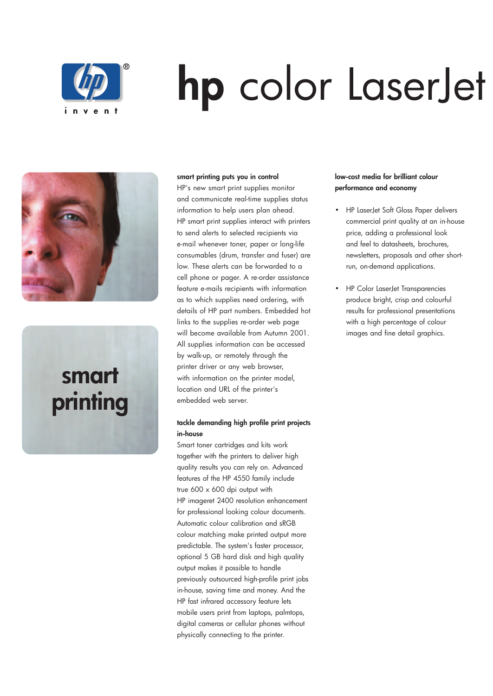

# **hp** color LaserJet



# **smart printing**

#### **smart printing puts you in control**

HP's new smart print supplies monitor and communicate real-time supplies status information to help users plan ahead. HP smart print supplies interact with printers to send alerts to selected recipients via e-mail whenever toner, paper or long-life consumables (drum, transfer and fuser) are low. These alerts can be forwarded to a cell phone or pager. A re-order assistance feature e-mails recipients with information as to which supplies need ordering, with details of HP part numbers. Embedded hot links to the supplies re-order web page will become available from Autumn 2001. All supplies information can be accessed by walk-up, or remotely through the printer driver or any web browser, with information on the printer model, location and URL of the printer's embedded web server.

### **tackle demanding high profile print projects in-house**

Smart toner cartridges and kits work together with the printers to deliver high quality results you can rely on. Advanced features of the HP 4550 family include true 600 x 600 dpi output with HP imageret 2400 resolution enhancement for professional looking colour documents. Automatic colour calibration and sRGB colour matching make printed output more predictable. The system's faster processor, optional 5 GB hard disk and high quality output makes it possible to handle previously outsourced high-profile print jobs in-house, saving time and money. And the HP fast infrared accessory feature lets mobile users print from laptops, palmtops, digital cameras or cellular phones without physically connecting to the printer.

## **low-cost media for brilliant colour performance and economy**

- HP LaserJet Soft Gloss Paper delivers commercial print quality at an in-house price, adding a professional look and feel to datasheets, brochures, newsletters, proposals and other shortrun, on-demand applications.
- HP Color LaserJet Transparencies produce bright, crisp and colourful results for professional presentations with a high percentage of colour images and fine detail graphics.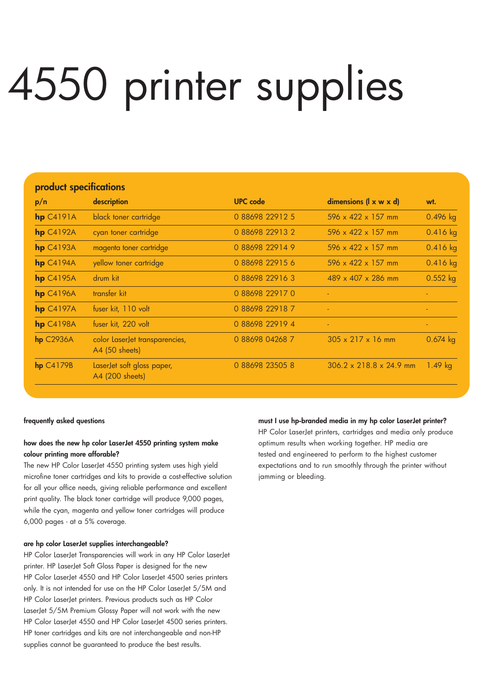# 4550 printer supplies

| product specifications |                                                  |                 |                                     |            |  |
|------------------------|--------------------------------------------------|-----------------|-------------------------------------|------------|--|
| p/n                    | description                                      | <b>UPC</b> code | dimensions $(l \times w \times d)$  | wt.        |  |
| $hp$ $C4191A$          | black toner cartridge                            | 0 88698 22912 5 | $596 \times 422 \times 157$ mm      | 0.496 kg   |  |
| $hp$ C4192A            | cyan toner cartridge                             | 0 88698 22913 2 | $596 \times 422 \times 157$ mm      | 0.416 kg   |  |
| $hp$ C4193A            | magenta toner cartridge                          | 0 88698 22914 9 | $596 \times 422 \times 157$ mm      | 0.416 kg   |  |
| $hp$ $C4194A$          | yellow toner cartridge                           | 0 88698 22915 6 | $596 \times 422 \times 157$ mm      | $0.416$ kg |  |
| $hp$ C4195A            | drum kit                                         | 0 88698 22916 3 | $489 \times 407 \times 286$ mm      | 0.552 kg   |  |
| $hp$ C4196A            | transfer kit                                     | 0 88698 22917 0 |                                     |            |  |
| $hp$ C4197A            | fuser kit, 110 volt                              | 0 88698 22918 7 |                                     |            |  |
| $hp$ C4198A            | fuser kit, 220 volt                              | 0 88698 22919 4 | $\blacksquare$                      | $\sim$     |  |
| $hp$ C2936A            | color LaserJet transparencies,<br>A4 (50 sheets) | 0 88698 04268 7 | $305 \times 217 \times 16$ mm       | $0.674$ kg |  |
| $hp$ $C4179B$          | LaserJet soft gloss paper,<br>A4 (200 sheets)    | 0 88698 23505 8 | $306.2 \times 218.8 \times 24.9$ mm | 1.49 $kg$  |  |

#### **frequently asked questions**

## **how does the new hp color LaserJet 4550 printing system make colour printing more afforable?**

The new HP Color LaserJet 4550 printing system uses high yield microfine toner cartridges and kits to provide a cost-effective solution for all your office needs, giving reliable performance and excellent print quality. The black toner cartridge will produce 9,000 pages, while the cyan, magenta and yellow toner cartridges will produce 6,000 pages - at a 5% coverage.

### **are hp color LaserJet supplies interchangeable?**

HP Color LaserJet Transparencies will work in any HP Color LaserJet printer. HP LaserJet Soft Gloss Paper is designed for the new HP Color LaserJet 4550 and HP Color LaserJet 4500 series printers only. It is not intended for use on the HP Color LaserJet 5/5M and HP Color LaserJet printers. Previous products such as HP Color LaserJet 5/5M Premium Glossy Paper will not work with the new HP Color LaserJet 4550 and HP Color LaserJet 4500 series printers. HP toner cartridges and kits are not interchangeable and non-HP supplies cannot be guaranteed to produce the best results.

#### **must I use hp-branded media in my hp color LaserJet printer?**

HP Color LaserJet printers, cartridges and media only produce optimum results when working together. HP media are tested and engineered to perform to the highest customer expectations and to run smoothly through the printer without jamming or bleeding.